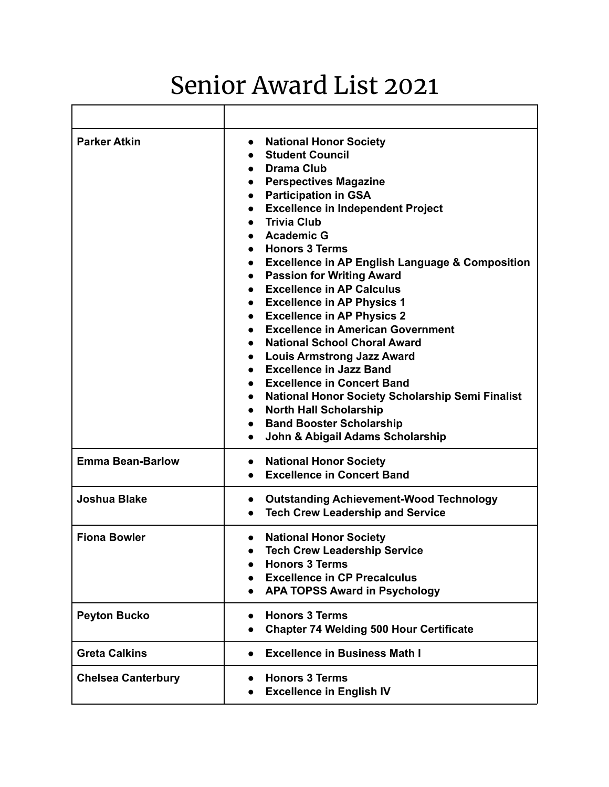## Senior Award List 2021

| <b>Parker Atkin</b>       | <b>National Honor Society</b><br>$\bullet$<br><b>Student Council</b><br><b>Drama Club</b><br><b>Perspectives Magazine</b><br><b>Participation in GSA</b><br><b>Excellence in Independent Project</b><br>$\bullet$<br><b>Trivia Club</b><br><b>Academic G</b><br><b>Honors 3 Terms</b><br><b>Excellence in AP English Language &amp; Composition</b><br><b>Passion for Writing Award</b><br><b>Excellence in AP Calculus</b><br><b>Excellence in AP Physics 1</b><br>$\bullet$<br><b>Excellence in AP Physics 2</b><br>$\bullet$<br><b>Excellence in American Government</b><br><b>National School Choral Award</b><br><b>Louis Armstrong Jazz Award</b><br><b>Excellence in Jazz Band</b><br><b>Excellence in Concert Band</b><br><b>National Honor Society Scholarship Semi Finalist</b><br><b>North Hall Scholarship</b><br><b>Band Booster Scholarship</b><br>$\bullet$<br>John & Abigail Adams Scholarship<br>$\bullet$ |
|---------------------------|-----------------------------------------------------------------------------------------------------------------------------------------------------------------------------------------------------------------------------------------------------------------------------------------------------------------------------------------------------------------------------------------------------------------------------------------------------------------------------------------------------------------------------------------------------------------------------------------------------------------------------------------------------------------------------------------------------------------------------------------------------------------------------------------------------------------------------------------------------------------------------------------------------------------------------|
| <b>Emma Bean-Barlow</b>   | <b>National Honor Society</b><br>$\bullet$<br><b>Excellence in Concert Band</b>                                                                                                                                                                                                                                                                                                                                                                                                                                                                                                                                                                                                                                                                                                                                                                                                                                             |
| <b>Joshua Blake</b>       | <b>Outstanding Achievement-Wood Technology</b><br>$\bullet$<br><b>Tech Crew Leadership and Service</b>                                                                                                                                                                                                                                                                                                                                                                                                                                                                                                                                                                                                                                                                                                                                                                                                                      |
| <b>Fiona Bowler</b>       | <b>National Honor Society</b><br>$\bullet$<br><b>Tech Crew Leadership Service</b><br><b>Honors 3 Terms</b><br><b>Excellence in CP Precalculus</b><br>$\bullet$<br><b>APA TOPSS Award in Psychology</b>                                                                                                                                                                                                                                                                                                                                                                                                                                                                                                                                                                                                                                                                                                                      |
| <b>Peyton Bucko</b>       | <b>Honors 3 Terms</b><br><b>Chapter 74 Welding 500 Hour Certificate</b>                                                                                                                                                                                                                                                                                                                                                                                                                                                                                                                                                                                                                                                                                                                                                                                                                                                     |
| <b>Greta Calkins</b>      | <b>Excellence in Business Math I</b>                                                                                                                                                                                                                                                                                                                                                                                                                                                                                                                                                                                                                                                                                                                                                                                                                                                                                        |
| <b>Chelsea Canterbury</b> | <b>Honors 3 Terms</b><br><b>Excellence in English IV</b>                                                                                                                                                                                                                                                                                                                                                                                                                                                                                                                                                                                                                                                                                                                                                                                                                                                                    |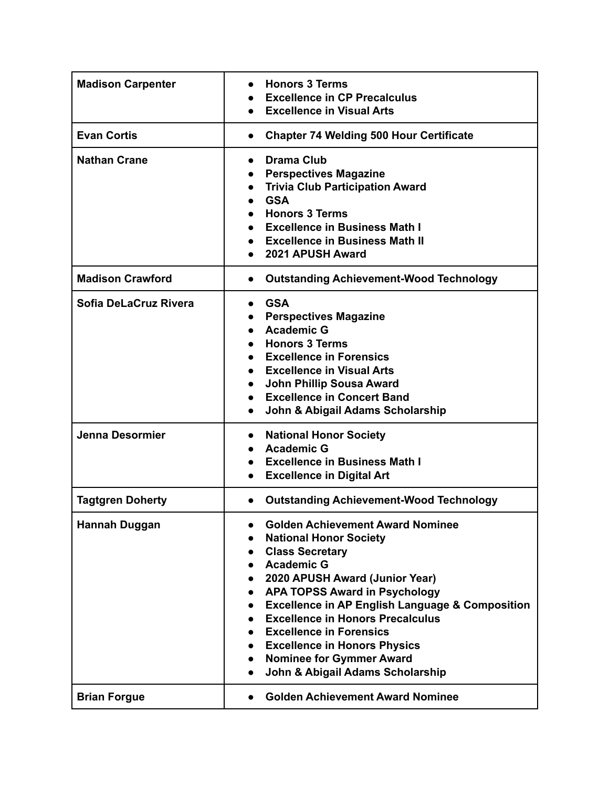| <b>Madison Carpenter</b> | <b>Honors 3 Terms</b><br><b>Excellence in CP Precalculus</b><br><b>Excellence in Visual Arts</b>                                                                                                                                                                                                                                                                                                                                                                        |
|--------------------------|-------------------------------------------------------------------------------------------------------------------------------------------------------------------------------------------------------------------------------------------------------------------------------------------------------------------------------------------------------------------------------------------------------------------------------------------------------------------------|
| <b>Evan Cortis</b>       | <b>Chapter 74 Welding 500 Hour Certificate</b><br>$\bullet$                                                                                                                                                                                                                                                                                                                                                                                                             |
| <b>Nathan Crane</b>      | <b>Drama Club</b><br>$\bullet$<br><b>Perspectives Magazine</b><br><b>Trivia Club Participation Award</b><br><b>GSA</b><br><b>Honors 3 Terms</b><br><b>Excellence in Business Math I</b><br><b>Excellence in Business Math II</b><br>2021 APUSH Award                                                                                                                                                                                                                    |
| <b>Madison Crawford</b>  | <b>Outstanding Achievement-Wood Technology</b><br>$\bullet$                                                                                                                                                                                                                                                                                                                                                                                                             |
| Sofia DeLaCruz Rivera    | <b>GSA</b><br>$\bullet$<br><b>Perspectives Magazine</b><br><b>Academic G</b><br><b>Honors 3 Terms</b><br><b>Excellence in Forensics</b><br><b>Excellence in Visual Arts</b><br><b>John Phillip Sousa Award</b><br><b>Excellence in Concert Band</b><br>$\bullet$<br>John & Abigail Adams Scholarship<br>$\bullet$                                                                                                                                                       |
| <b>Jenna Desormier</b>   | <b>National Honor Society</b><br><b>Academic G</b><br><b>Excellence in Business Math I</b><br><b>Excellence in Digital Art</b>                                                                                                                                                                                                                                                                                                                                          |
| <b>Tagtgren Doherty</b>  | <b>Outstanding Achievement-Wood Technology</b><br>$\bullet$                                                                                                                                                                                                                                                                                                                                                                                                             |
| Hannah Duggan            | <b>Golden Achievement Award Nominee</b><br><b>National Honor Society</b><br><b>Class Secretary</b><br><b>Academic G</b><br>2020 APUSH Award (Junior Year)<br><b>APA TOPSS Award in Psychology</b><br><b>Excellence in AP English Language &amp; Composition</b><br>$\bullet$<br><b>Excellence in Honors Precalculus</b><br><b>Excellence in Forensics</b><br><b>Excellence in Honors Physics</b><br><b>Nominee for Gymmer Award</b><br>John & Abigail Adams Scholarship |
| <b>Brian Forgue</b>      | <b>Golden Achievement Award Nominee</b>                                                                                                                                                                                                                                                                                                                                                                                                                                 |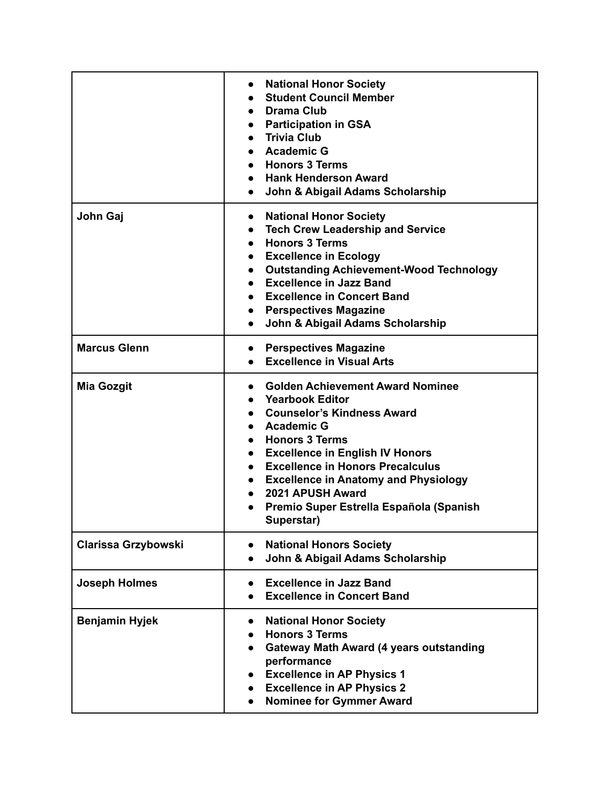|                            | <b>National Honor Society</b><br>$\bullet$<br><b>Student Council Member</b><br><b>Drama Club</b><br>$\bullet$<br><b>Participation in GSA</b><br>$\bullet$<br><b>Trivia Club</b><br><b>Academic G</b><br><b>Honors 3 Terms</b><br><b>Hank Henderson Award</b><br>John & Abigail Adams Scholarship<br>$\bullet$                                                                      |
|----------------------------|------------------------------------------------------------------------------------------------------------------------------------------------------------------------------------------------------------------------------------------------------------------------------------------------------------------------------------------------------------------------------------|
| John Gaj                   | <b>National Honor Society</b><br>$\bullet$<br><b>Tech Crew Leadership and Service</b><br><b>Honors 3 Terms</b><br>$\bullet$<br><b>Excellence in Ecology</b><br><b>Outstanding Achievement-Wood Technology</b><br><b>Excellence in Jazz Band</b><br><b>Excellence in Concert Band</b><br><b>Perspectives Magazine</b><br>$\bullet$<br>John & Abigail Adams Scholarship              |
| <b>Marcus Glenn</b>        | <b>Perspectives Magazine</b><br>$\bullet$<br><b>Excellence in Visual Arts</b>                                                                                                                                                                                                                                                                                                      |
| <b>Mia Gozgit</b>          | <b>Golden Achievement Award Nominee</b><br><b>Yearbook Editor</b><br><b>Counselor's Kindness Award</b><br><b>Academic G</b><br><b>Honors 3 Terms</b><br><b>Excellence in English IV Honors</b><br>$\bullet$<br><b>Excellence in Honors Precalculus</b><br><b>Excellence in Anatomy and Physiology</b><br>2021 APUSH Award<br>Premio Super Estrella Española (Spanish<br>Superstar) |
| <b>Clarissa Grzybowski</b> | <b>National Honors Society</b><br>$\bullet$<br>John & Abigail Adams Scholarship                                                                                                                                                                                                                                                                                                    |
| <b>Joseph Holmes</b>       | <b>Excellence in Jazz Band</b><br>$\bullet$<br><b>Excellence in Concert Band</b>                                                                                                                                                                                                                                                                                                   |
| <b>Benjamin Hyjek</b>      | <b>National Honor Society</b><br><b>Honors 3 Terms</b><br><b>Gateway Math Award (4 years outstanding</b><br>performance<br><b>Excellence in AP Physics 1</b><br><b>Excellence in AP Physics 2</b><br><b>Nominee for Gymmer Award</b><br>$\bullet$                                                                                                                                  |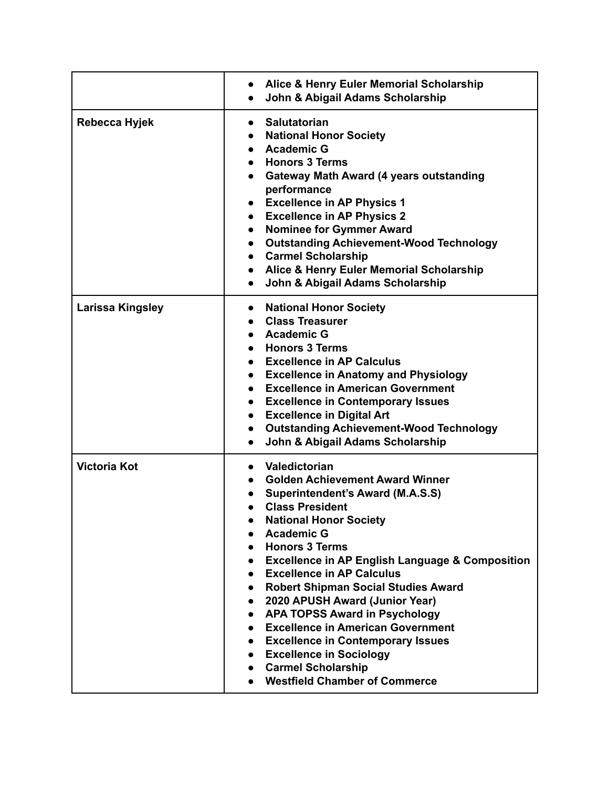|                     | Alice & Henry Euler Memorial Scholarship<br>John & Abigail Adams Scholarship                                                                                                                                                                                                                                                                                                                                                                                                                                                                                                                                                                                                           |
|---------------------|----------------------------------------------------------------------------------------------------------------------------------------------------------------------------------------------------------------------------------------------------------------------------------------------------------------------------------------------------------------------------------------------------------------------------------------------------------------------------------------------------------------------------------------------------------------------------------------------------------------------------------------------------------------------------------------|
| Rebecca Hyjek       | <b>Salutatorian</b><br>$\bullet$<br>• National Honor Society<br>• Academic G<br><b>Honors 3 Terms</b><br>Gateway Math Award (4 years outstanding<br>$\bullet$<br>performance<br><b>Excellence in AP Physics 1</b><br>$\bullet$<br><b>Excellence in AP Physics 2</b><br>$\bullet$<br>• Nominee for Gymmer Award<br>• Outstanding Achievement-Wood Technology<br><b>Carmel Scholarship</b><br>$\bullet$<br>• Alice & Henry Euler Memorial Scholarship<br>John & Abigail Adams Scholarship<br>$\bullet$                                                                                                                                                                                   |
| Larissa Kingsley    | <b>National Honor Society</b><br><b>Class Treasurer</b><br>• Academic G<br>• Honors 3 Terms<br>• Excellence in AP Calculus<br>• Excellence in Anatomy and Physiology<br><b>Excellence in American Government</b><br><b>Excellence in Contemporary Issues</b><br><b>Excellence in Digital Art</b><br>$\bullet$<br><b>Outstanding Achievement-Wood Technology</b><br>$\bullet$<br>John & Abigail Adams Scholarship<br>$\bullet$                                                                                                                                                                                                                                                          |
| <b>Victoria Kot</b> | Valedictorian<br>$\bullet$<br><b>Golden Achievement Award Winner</b><br>Superintendent's Award (M.A.S.S)<br><b>Class President</b><br><b>National Honor Society</b><br><b>Academic G</b><br><b>Honors 3 Terms</b><br><b>Excellence in AP English Language &amp; Composition</b><br><b>Excellence in AP Calculus</b><br><b>Robert Shipman Social Studies Award</b><br>$\bullet$<br>2020 APUSH Award (Junior Year)<br>$\bullet$<br><b>APA TOPSS Award in Psychology</b><br>$\bullet$<br><b>Excellence in American Government</b><br>$\bullet$<br><b>• Excellence in Contemporary Issues</b><br>• Excellence in Sociology<br>• Carmel Scholarship<br><b>Westfield Chamber of Commerce</b> |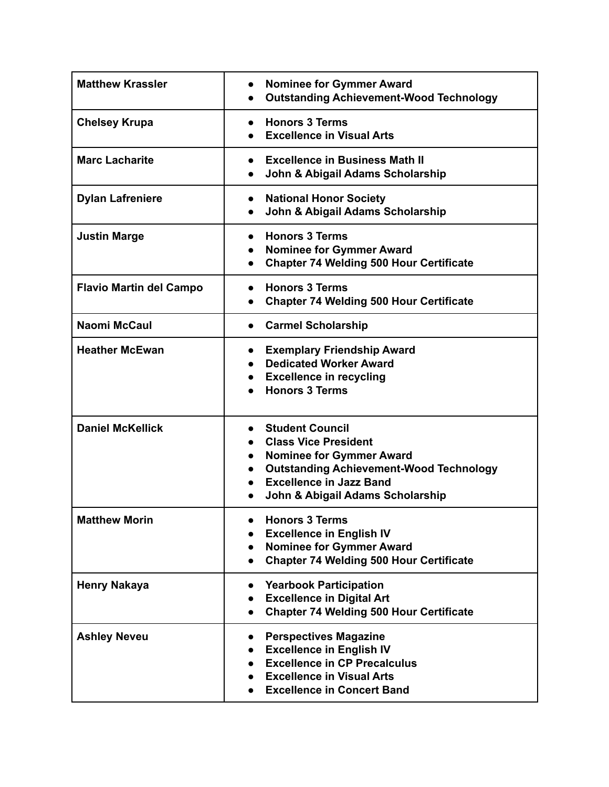| <b>Matthew Krassler</b>        | <b>Nominee for Gymmer Award</b><br><b>Outstanding Achievement-Wood Technology</b>                                                                                                                                                          |
|--------------------------------|--------------------------------------------------------------------------------------------------------------------------------------------------------------------------------------------------------------------------------------------|
| <b>Chelsey Krupa</b>           | <b>Honors 3 Terms</b><br><b>Excellence in Visual Arts</b>                                                                                                                                                                                  |
| <b>Marc Lacharite</b>          | <b>Excellence in Business Math II</b><br>$\bullet$<br>John & Abigail Adams Scholarship                                                                                                                                                     |
| <b>Dylan Lafreniere</b>        | <b>National Honor Society</b><br>John & Abigail Adams Scholarship                                                                                                                                                                          |
| <b>Justin Marge</b>            | <b>Honors 3 Terms</b><br><b>Nominee for Gymmer Award</b><br>$\bullet$<br><b>Chapter 74 Welding 500 Hour Certificate</b>                                                                                                                    |
| <b>Flavio Martin del Campo</b> | <b>Honors 3 Terms</b><br><b>Chapter 74 Welding 500 Hour Certificate</b>                                                                                                                                                                    |
| <b>Naomi McCaul</b>            | <b>Carmel Scholarship</b><br>$\bullet$                                                                                                                                                                                                     |
| <b>Heather McEwan</b>          | <b>Exemplary Friendship Award</b><br>$\bullet$<br><b>Dedicated Worker Award</b><br><b>Excellence in recycling</b><br><b>Honors 3 Terms</b>                                                                                                 |
| <b>Daniel McKellick</b>        | <b>Student Council</b><br><b>Class Vice President</b><br><b>Nominee for Gymmer Award</b><br>$\bullet$<br><b>Outstanding Achievement-Wood Technology</b><br>$\bullet$<br><b>Excellence in Jazz Band</b><br>John & Abigail Adams Scholarship |
| <b>Matthew Morin</b>           | <b>Honors 3 Terms</b><br><b>Excellence in English IV</b><br><b>Nominee for Gymmer Award</b><br>$\bullet$<br><b>Chapter 74 Welding 500 Hour Certificate</b>                                                                                 |
| <b>Henry Nakaya</b>            | <b>Yearbook Participation</b><br>$\bullet$<br><b>Excellence in Digital Art</b><br><b>Chapter 74 Welding 500 Hour Certificate</b><br>$\bullet$                                                                                              |
| <b>Ashley Neveu</b>            | <b>Perspectives Magazine</b><br>$\bullet$<br><b>Excellence in English IV</b><br><b>Excellence in CP Precalculus</b><br><b>Excellence in Visual Arts</b><br><b>Excellence in Concert Band</b>                                               |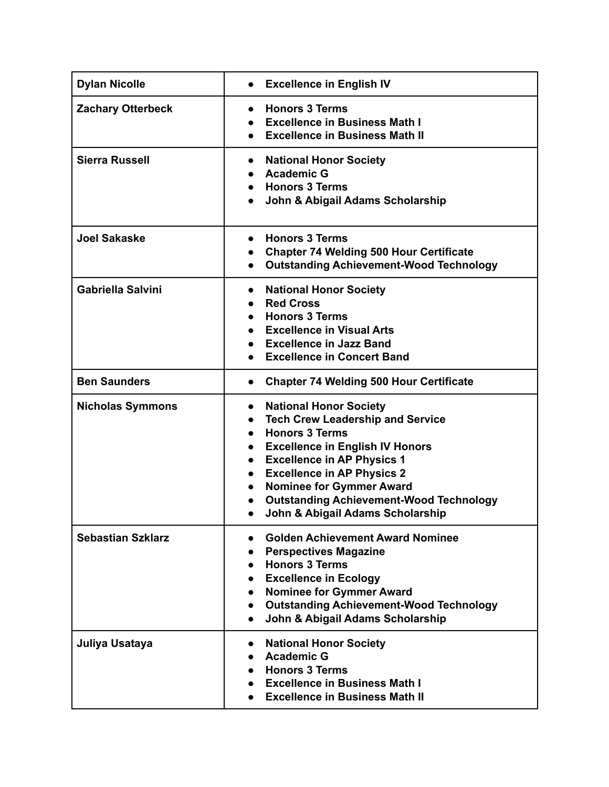| <b>Dylan Nicolle</b>     | <b>Excellence in English IV</b>                                                                                                                                                                                                                                                                                                                                                       |
|--------------------------|---------------------------------------------------------------------------------------------------------------------------------------------------------------------------------------------------------------------------------------------------------------------------------------------------------------------------------------------------------------------------------------|
| <b>Zachary Otterbeck</b> | <b>Honors 3 Terms</b><br><b>Excellence in Business Math I</b><br><b>Excellence in Business Math II</b>                                                                                                                                                                                                                                                                                |
| <b>Sierra Russell</b>    | <b>National Honor Society</b><br>$\bullet$<br><b>Academic G</b><br><b>Honors 3 Terms</b><br>John & Abigail Adams Scholarship                                                                                                                                                                                                                                                          |
| <b>Joel Sakaske</b>      | <b>Honors 3 Terms</b><br><b>Chapter 74 Welding 500 Hour Certificate</b><br><b>Outstanding Achievement-Wood Technology</b><br>$\bullet$                                                                                                                                                                                                                                                |
| <b>Gabriella Salvini</b> | <b>National Honor Society</b><br>$\bullet$<br><b>Red Cross</b><br><b>Honors 3 Terms</b><br><b>Excellence in Visual Arts</b><br><b>Excellence in Jazz Band</b><br><b>Excellence in Concert Band</b>                                                                                                                                                                                    |
| <b>Ben Saunders</b>      | <b>Chapter 74 Welding 500 Hour Certificate</b><br>$\bullet$                                                                                                                                                                                                                                                                                                                           |
| <b>Nicholas Symmons</b>  | <b>National Honor Society</b><br>$\bullet$<br><b>Tech Crew Leadership and Service</b><br>$\bullet$<br><b>Honors 3 Terms</b><br>$\bullet$<br><b>Excellence in English IV Honors</b><br><b>Excellence in AP Physics 1</b><br><b>Excellence in AP Physics 2</b><br><b>Nominee for Gymmer Award</b><br><b>Outstanding Achievement-Wood Technology</b><br>John & Abigail Adams Scholarship |
| <b>Sebastian Szklarz</b> | <b>Golden Achievement Award Nominee</b><br><b>Perspectives Magazine</b><br><b>Honors 3 Terms</b><br><b>Excellence in Ecology</b><br><b>Nominee for Gymmer Award</b><br><b>Outstanding Achievement-Wood Technology</b><br>John & Abigail Adams Scholarship                                                                                                                             |
| Juliya Usataya           | <b>National Honor Society</b><br><b>Academic G</b><br><b>Honors 3 Terms</b><br><b>Excellence in Business Math I</b><br><b>Excellence in Business Math II</b>                                                                                                                                                                                                                          |